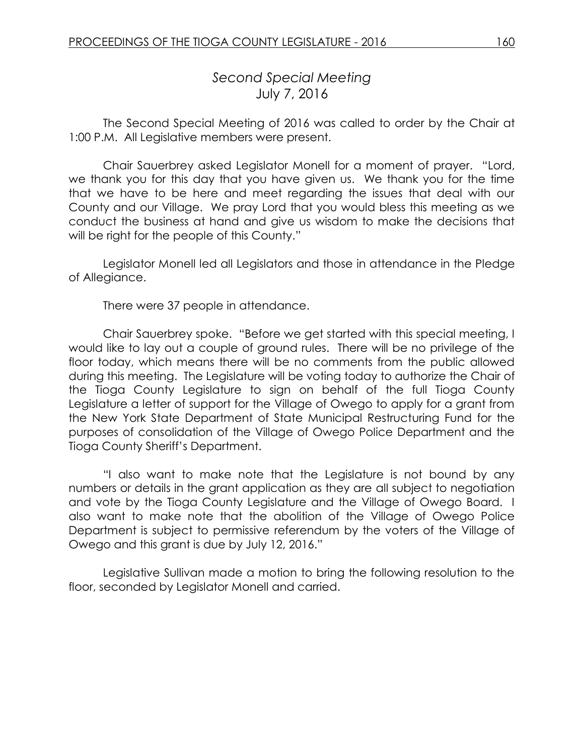## *Second Special Meeting* July 7, 2016

The Second Special Meeting of 2016 was called to order by the Chair at 1:00 P.M. All Legislative members were present.

Chair Sauerbrey asked Legislator Monell for a moment of prayer. "Lord, we thank you for this day that you have given us. We thank you for the time that we have to be here and meet regarding the issues that deal with our County and our Village. We pray Lord that you would bless this meeting as we conduct the business at hand and give us wisdom to make the decisions that will be right for the people of this County."

Legislator Monell led all Legislators and those in attendance in the Pledge of Allegiance.

There were 37 people in attendance.

Chair Sauerbrey spoke. "Before we get started with this special meeting, I would like to lay out a couple of ground rules. There will be no privilege of the floor today, which means there will be no comments from the public allowed during this meeting. The Legislature will be voting today to authorize the Chair of the Tioga County Legislature to sign on behalf of the full Tioga County Legislature a letter of support for the Village of Owego to apply for a grant from the New York State Department of State Municipal Restructuring Fund for the purposes of consolidation of the Village of Owego Police Department and the Tioga County Sheriff's Department.

"I also want to make note that the Legislature is not bound by any numbers or details in the grant application as they are all subject to negotiation and vote by the Tioga County Legislature and the Village of Owego Board. I also want to make note that the abolition of the Village of Owego Police Department is subject to permissive referendum by the voters of the Village of Owego and this grant is due by July 12, 2016."

Legislative Sullivan made a motion to bring the following resolution to the floor, seconded by Legislator Monell and carried.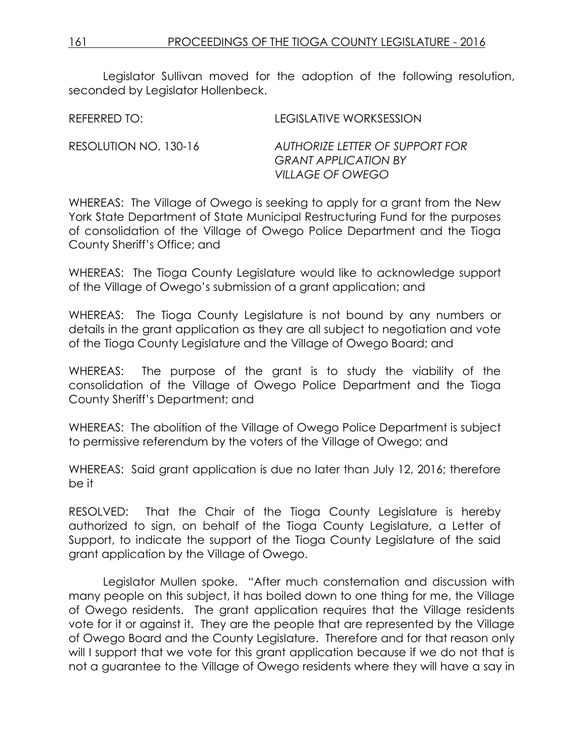*VILLAGE OF OWEGO*

Legislator Sullivan moved for the adoption of the following resolution, seconded by Legislator Hollenbeck.

REFERRED TO: LEGISLATIVE WORKSESSION RESOLUTION NO. 130-16 *AUTHORIZE LETTER OF SUPPORT FOR GRANT APPLICATION BY*

WHEREAS: The Village of Owego is seeking to apply for a grant from the New York State Department of State Municipal Restructuring Fund for the purposes of consolidation of the Village of Owego Police Department and the Tioga County Sheriff's Office; and

WHEREAS: The Tioga County Legislature would like to acknowledge support of the Village of Owego's submission of a grant application; and

WHEREAS: The Tioga County Legislature is not bound by any numbers or details in the grant application as they are all subject to negotiation and vote of the Tioga County Legislature and the Village of Owego Board; and

WHEREAS: The purpose of the grant is to study the viability of the consolidation of the Village of Owego Police Department and the Tioga County Sheriff's Department; and

WHEREAS: The abolition of the Village of Owego Police Department is subject to permissive referendum by the voters of the Village of Owego; and

WHEREAS: Said grant application is due no later than July 12, 2016; therefore be it

RESOLVED: That the Chair of the Tioga County Legislature is hereby authorized to sign, on behalf of the Tioga County Legislature, a Letter of Support, to indicate the support of the Tioga County Legislature of the said grant application by the Village of Owego.

Legislator Mullen spoke. "After much consternation and discussion with many people on this subject, it has boiled down to one thing for me, the Village of Owego residents. The grant application requires that the Village residents vote for it or against it. They are the people that are represented by the Village of Owego Board and the County Legislature. Therefore and for that reason only will I support that we vote for this grant application because if we do not that is not a guarantee to the Village of Owego residents where they will have a say in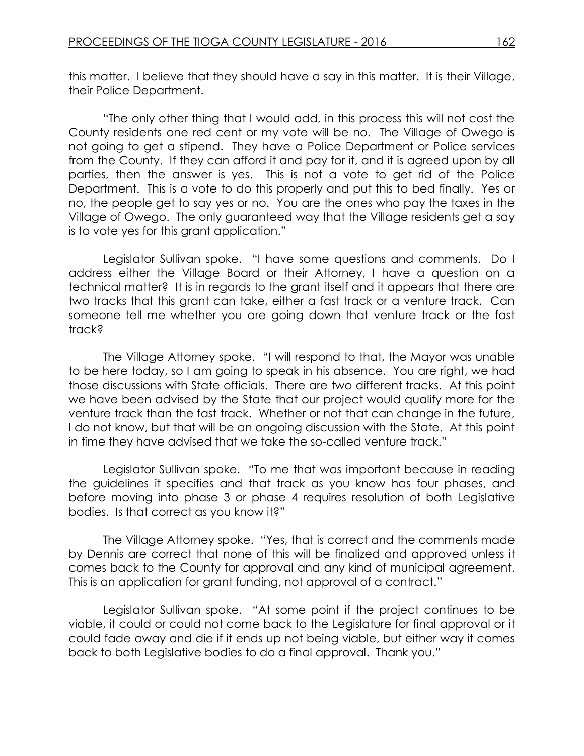this matter. I believe that they should have a say in this matter. It is their Village, their Police Department.

"The only other thing that I would add, in this process this will not cost the County residents one red cent or my vote will be no. The Village of Owego is not going to get a stipend. They have a Police Department or Police services from the County. If they can afford it and pay for it, and it is agreed upon by all parties, then the answer is yes. This is not a vote to get rid of the Police Department. This is a vote to do this properly and put this to bed finally. Yes or no, the people get to say yes or no. You are the ones who pay the taxes in the Village of Owego. The only guaranteed way that the Village residents get a say is to vote yes for this grant application."

Legislator Sullivan spoke. "I have some questions and comments. Do I address either the Village Board or their Attorney, I have a question on a technical matter? It is in regards to the grant itself and it appears that there are two tracks that this grant can take, either a fast track or a venture track. Can someone tell me whether you are going down that venture track or the fast track?

The Village Attorney spoke. "I will respond to that, the Mayor was unable to be here today, so I am going to speak in his absence. You are right, we had those discussions with State officials. There are two different tracks. At this point we have been advised by the State that our project would qualify more for the venture track than the fast track. Whether or not that can change in the future, I do not know, but that will be an ongoing discussion with the State. At this point in time they have advised that we take the so-called venture track."

Legislator Sullivan spoke. "To me that was important because in reading the guidelines it specifies and that track as you know has four phases, and before moving into phase 3 or phase 4 requires resolution of both Legislative bodies. Is that correct as you know it?"

The Village Attorney spoke. "Yes, that is correct and the comments made by Dennis are correct that none of this will be finalized and approved unless it comes back to the County for approval and any kind of municipal agreement. This is an application for grant funding, not approval of a contract."

Legislator Sullivan spoke. "At some point if the project continues to be viable, it could or could not come back to the Legislature for final approval or it could fade away and die if it ends up not being viable, but either way it comes back to both Legislative bodies to do a final approval. Thank you."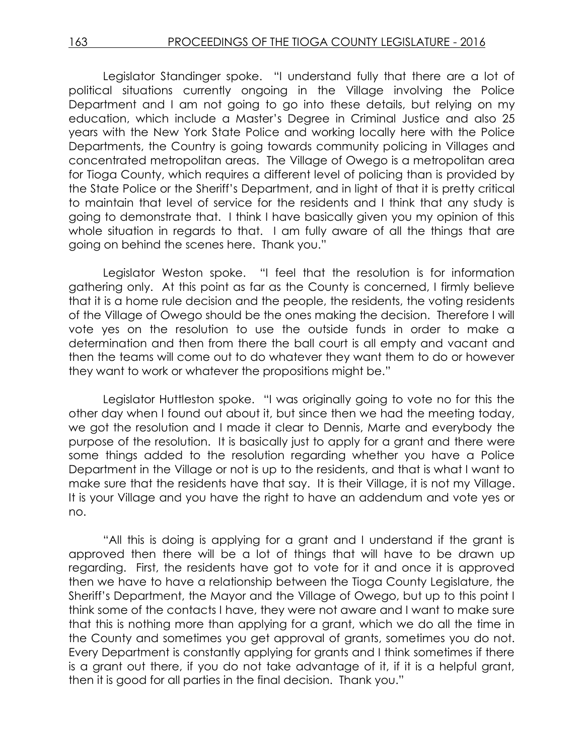Legislator Standinger spoke. "I understand fully that there are a lot of political situations currently ongoing in the Village involving the Police Department and I am not going to go into these details, but relying on my education, which include a Master's Degree in Criminal Justice and also 25 years with the New York State Police and working locally here with the Police Departments, the Country is going towards community policing in Villages and concentrated metropolitan areas. The Village of Owego is a metropolitan area for Tioga County, which requires a different level of policing than is provided by the State Police or the Sheriff's Department, and in light of that it is pretty critical to maintain that level of service for the residents and I think that any study is going to demonstrate that. I think I have basically given you my opinion of this whole situation in regards to that. I am fully aware of all the things that are going on behind the scenes here. Thank you."

Legislator Weston spoke. "I feel that the resolution is for information gathering only. At this point as far as the County is concerned, I firmly believe that it is a home rule decision and the people, the residents, the voting residents of the Village of Owego should be the ones making the decision. Therefore I will vote yes on the resolution to use the outside funds in order to make a determination and then from there the ball court is all empty and vacant and then the teams will come out to do whatever they want them to do or however they want to work or whatever the propositions might be."

Legislator Huttleston spoke. "I was originally going to vote no for this the other day when I found out about it, but since then we had the meeting today, we got the resolution and I made it clear to Dennis, Marte and everybody the purpose of the resolution. It is basically just to apply for a grant and there were some things added to the resolution regarding whether you have a Police Department in the Village or not is up to the residents, and that is what I want to make sure that the residents have that say. It is their Village, it is not my Village. It is your Village and you have the right to have an addendum and vote yes or no.

"All this is doing is applying for a grant and I understand if the grant is approved then there will be a lot of things that will have to be drawn up regarding. First, the residents have got to vote for it and once it is approved then we have to have a relationship between the Tioga County Legislature, the Sheriff's Department, the Mayor and the Village of Owego, but up to this point I think some of the contacts I have, they were not aware and I want to make sure that this is nothing more than applying for a grant, which we do all the time in the County and sometimes you get approval of grants, sometimes you do not. Every Department is constantly applying for grants and I think sometimes if there is a grant out there, if you do not take advantage of it, if it is a helpful grant, then it is good for all parties in the final decision. Thank you."